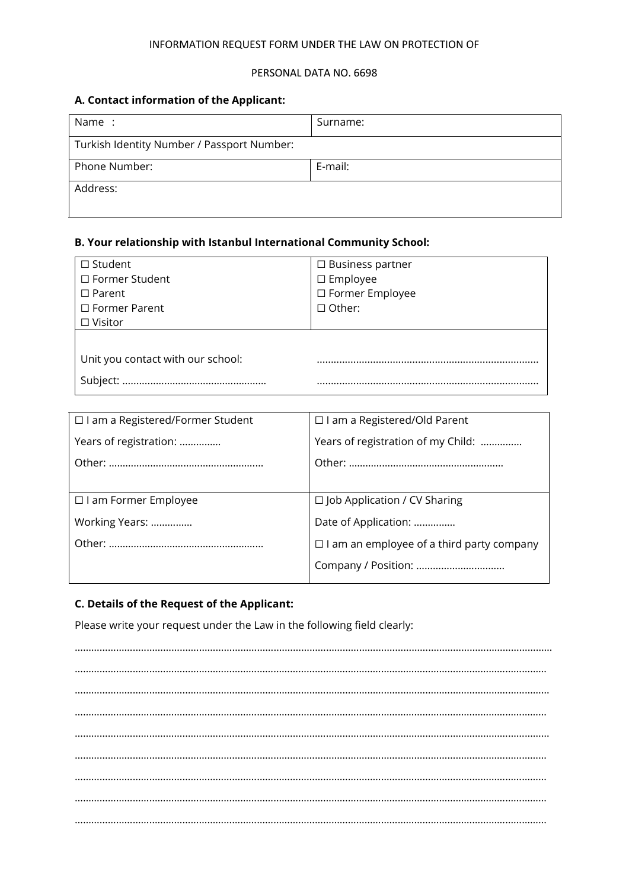### INFORMATION REQUEST FORM UNDER THE LAW ON PROTECTION OF

#### PERSONAL DATA NO. 6698

## **A. Contact information of the Applicant:**

| Name :                                     | Surname: |  |
|--------------------------------------------|----------|--|
| Turkish Identity Number / Passport Number: |          |  |
| Phone Number:                              | E-mail:  |  |
| Address:                                   |          |  |

# **B. Your relationship with Istanbul International Community School:**

| $\Box$ Student                    | $\Box$ Business partner |
|-----------------------------------|-------------------------|
| □ Former Student                  | $\square$ Employee      |
| $\Box$ Parent                     | □ Former Employee       |
| $\Box$ Former Parent              | $\Box$ Other:           |
| $\Box$ Visitor                    |                         |
|                                   |                         |
| Unit you contact with our school: |                         |
| Subject:                          |                         |

| $\Box$ I am a Registered/Former Student | $\Box$ I am a Registered/Old Parent              |  |
|-----------------------------------------|--------------------------------------------------|--|
| Years of registration:                  | Years of registration of my Child:               |  |
|                                         |                                                  |  |
|                                         |                                                  |  |
| □ I am Former Employee                  | $\Box$ Job Application / CV Sharing              |  |
| Working Years:                          | Date of Application:                             |  |
|                                         | $\Box$ I am an employee of a third party company |  |
|                                         |                                                  |  |

### **C. Details of the Request of the Applicant:**

Please write your request under the Law in the following field clearly:

…………………..…………….……………………………….……………………………….…………………………………………………… ……………………………………………………………………………………………………………………………………………………… ………………………………….…………………………………………………………………………………………………………………… ……………………………………………………………………………………………………………………………………………………… ………………………………….…………………………………………………………………………………………………………………… ……………………………………………………………………………………………………………………………………………………… ……………………………………………………………………………………………………………………………………………………… ……………………………………………………………………………………………………………………………………………………… ………………………………………………………………………………………………………………………………………………………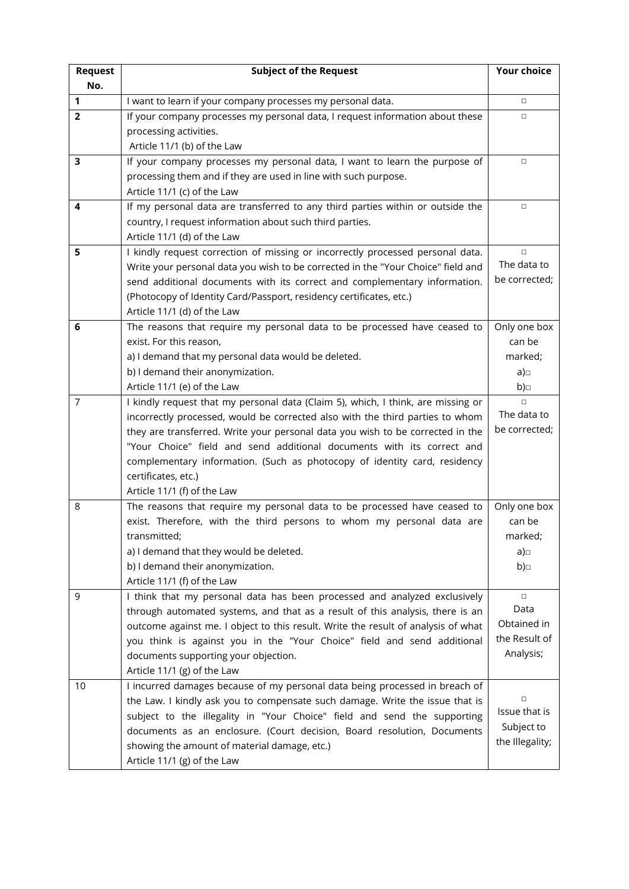| <b>Request</b> | <b>Subject of the Request</b>                                                     | <b>Your choice</b>    |
|----------------|-----------------------------------------------------------------------------------|-----------------------|
| No.            |                                                                                   |                       |
| 1              | I want to learn if your company processes my personal data.                       | $\Box$                |
| $\overline{2}$ | If your company processes my personal data, I request information about these     | $\Box$                |
|                | processing activities.                                                            |                       |
|                | Article 11/1 (b) of the Law                                                       |                       |
| 3              | If your company processes my personal data, I want to learn the purpose of        | $\Box$                |
|                | processing them and if they are used in line with such purpose.                   |                       |
|                | Article 11/1 (c) of the Law                                                       |                       |
| 4              | If my personal data are transferred to any third parties within or outside the    | $\Box$                |
|                | country, I request information about such third parties.                          |                       |
|                | Article 11/1 (d) of the Law                                                       |                       |
| 5              | I kindly request correction of missing or incorrectly processed personal data.    | $\Box$                |
|                | Write your personal data you wish to be corrected in the "Your Choice" field and  | The data to           |
|                | send additional documents with its correct and complementary information.         | be corrected;         |
|                | (Photocopy of Identity Card/Passport, residency certificates, etc.)               |                       |
|                | Article 11/1 (d) of the Law                                                       |                       |
| 6              | The reasons that require my personal data to be processed have ceased to          | Only one box          |
|                | exist. For this reason,                                                           | can be                |
|                | a) I demand that my personal data would be deleted.                               | marked;               |
|                | b) I demand their anonymization.                                                  | a) $\Box$             |
|                | Article 11/1 (e) of the Law                                                       | b)                    |
| 7              | I kindly request that my personal data (Claim 5), which, I think, are missing or  | $\Box$<br>The data to |
|                | incorrectly processed, would be corrected also with the third parties to whom     | be corrected;         |
|                | they are transferred. Write your personal data you wish to be corrected in the    |                       |
|                | "Your Choice" field and send additional documents with its correct and            |                       |
|                | complementary information. (Such as photocopy of identity card, residency         |                       |
|                | certificates, etc.)<br>Article 11/1 (f) of the Law                                |                       |
| 8              | The reasons that require my personal data to be processed have ceased to          | Only one box          |
|                | exist. Therefore, with the third persons to whom my personal data are             | can be                |
|                | transmitted;                                                                      | marked;               |
|                | a) I demand that they would be deleted.                                           | a)                    |
|                | b) I demand their anonymization.                                                  | b)                    |
|                | Article 11/1 (f) of the Law                                                       |                       |
| 9              | I think that my personal data has been processed and analyzed exclusively         | $\Box$                |
|                | through automated systems, and that as a result of this analysis, there is an     | Data                  |
|                | outcome against me. I object to this result. Write the result of analysis of what | Obtained in           |
|                | you think is against you in the "Your Choice" field and send additional           | the Result of         |
|                | documents supporting your objection.                                              | Analysis;             |
|                | Article 11/1 (g) of the Law                                                       |                       |
| 10             | I incurred damages because of my personal data being processed in breach of       |                       |
|                | the Law. I kindly ask you to compensate such damage. Write the issue that is      | $\Box$                |
|                | subject to the illegality in "Your Choice" field and send the supporting          | Issue that is         |
|                | documents as an enclosure. (Court decision, Board resolution, Documents           | Subject to            |
|                | showing the amount of material damage, etc.)                                      | the Illegality;       |
|                | Article 11/1 (g) of the Law                                                       |                       |